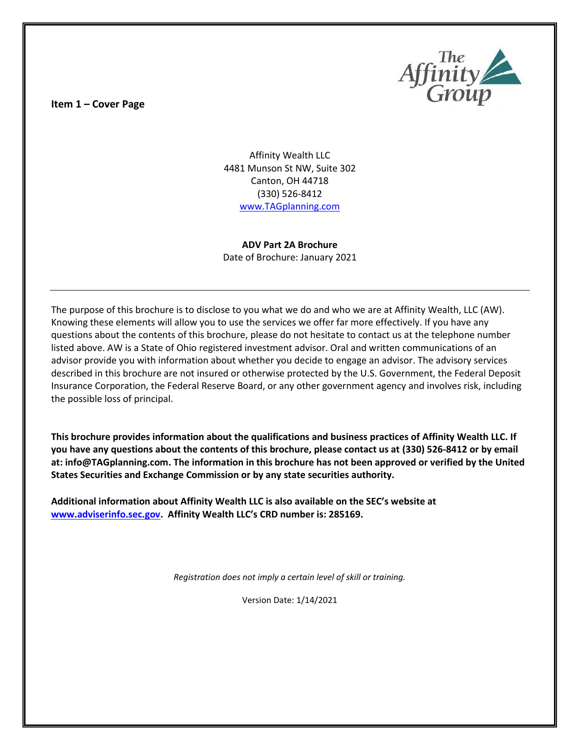**Item 1 – Cover Page** 



Affinity Wealth LLC 4481 Munson St NW, Suite 302 Canton, OH 44718 (330) 526-8412 [www.TAGplanning.com](http://www.tagplanning.com/)

**ADV Part 2A Brochure** Date of Brochure: January 2021

The purpose of this brochure is to disclose to you what we do and who we are at Affinity Wealth, LLC (AW). Knowing these elements will allow you to use the services we offer far more effectively. If you have any questions about the contents of this brochure, please do not hesitate to contact us at the telephone number listed above. AW is a State of Ohio registered investment advisor. Oral and written communications of an advisor provide you with information about whether you decide to engage an advisor. The advisory services described in this brochure are not insured or otherwise protected by the U.S. Government, the Federal Deposit Insurance Corporation, the Federal Reserve Board, or any other government agency and involves risk, including the possible loss of principal.

**This brochure provides information about the qualifications and business practices of Affinity Wealth LLC. If you have any questions about the contents of this brochure, please contact us at (330) 526-8412 or by email at: info@TAGplanning.com. The information in this brochure has not been approved or verified by the United States Securities and Exchange Commission or by any state securities authority.**

**Additional information about Affinity Wealth LLC is also available on the SEC's website at [www.adviserinfo.sec.gov.](file:///C:/Users/retir/Desktop/New%20Remote/www.adviserinfo.sec.gov) Affinity Wealth LLC's CRD number is: 285169.**

*Registration does not imply a certain level of skill or training.*

Version Date: 1/14/2021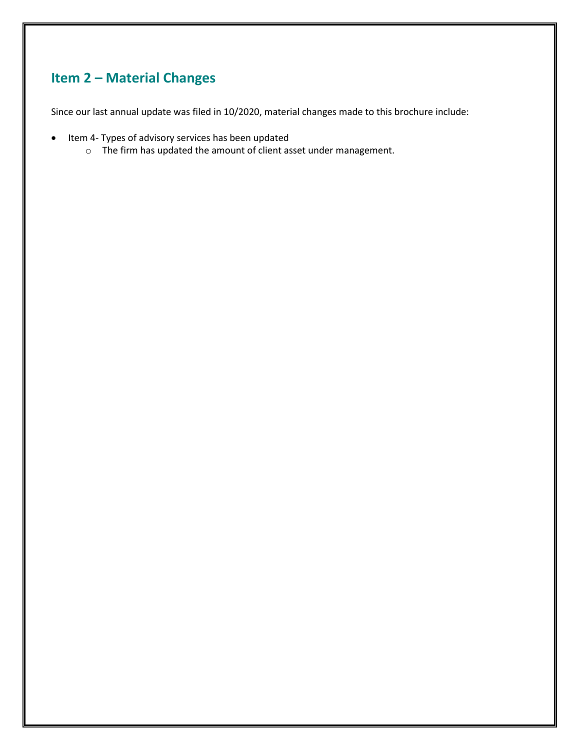## **Item 2 – Material Changes**

Since our last annual update was filed in 10/2020, material changes made to this brochure include:

- Item 4- Types of advisory services has been updated
	- o The firm has updated the amount of client asset under management.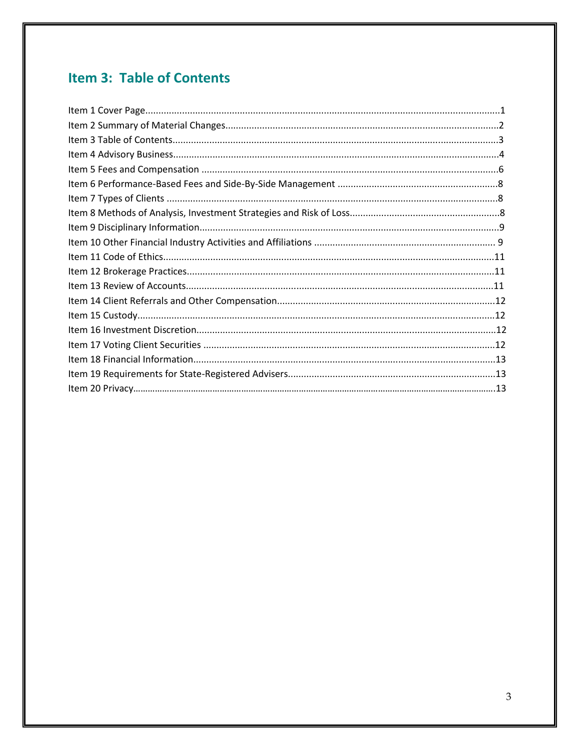# **Item 3: Table of Contents**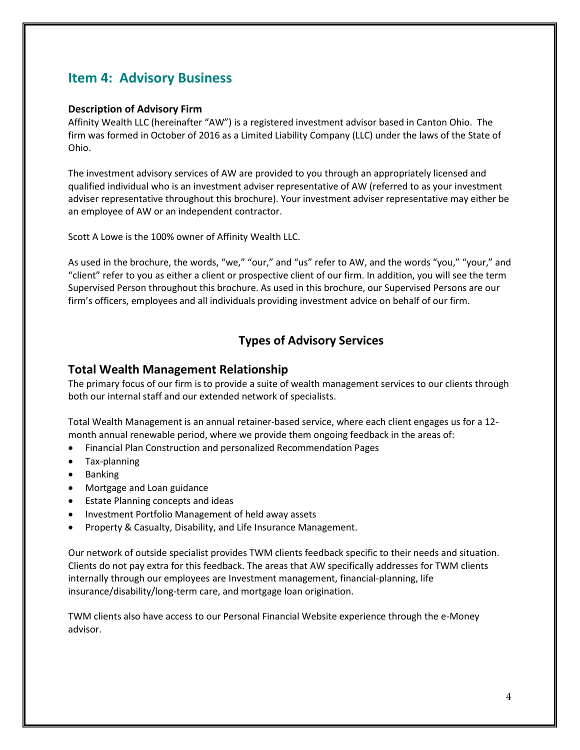## **Item 4: Advisory Business**

#### **Description of Advisory Firm**

Affinity Wealth LLC (hereinafter "AW") is a registered investment advisor based in Canton Ohio. The firm was formed in October of 2016 as a Limited Liability Company (LLC) under the laws of the State of Ohio.

The investment advisory services of AW are provided to you through an appropriately licensed and qualified individual who is an investment adviser representative of AW (referred to as your investment adviser representative throughout this brochure). Your investment adviser representative may either be an employee of AW or an independent contractor.

Scott A Lowe is the 100% owner of Affinity Wealth LLC.

As used in the brochure, the words, "we," "our," and "us" refer to AW, and the words "you," "your," and "client" refer to you as either a client or prospective client of our firm. In addition, you will see the term Supervised Person throughout this brochure. As used in this brochure, our Supervised Persons are our firm's officers, employees and all individuals providing investment advice on behalf of our firm.

### **Types of Advisory Services**

#### **Total Wealth Management Relationship**

The primary focus of our firm is to provide a suite of wealth management services to our clients through both our internal staff and our extended network of specialists.

Total Wealth Management is an annual retainer-based service, where each client engages us for a 12 month annual renewable period, where we provide them ongoing feedback in the areas of:

- Financial Plan Construction and personalized Recommendation Pages
- Tax-planning
- Banking
- Mortgage and Loan guidance
- Estate Planning concepts and ideas
- Investment Portfolio Management of held away assets
- Property & Casualty, Disability, and Life Insurance Management.

Our network of outside specialist provides TWM clients feedback specific to their needs and situation. Clients do not pay extra for this feedback. The areas that AW specifically addresses for TWM clients internally through our employees are Investment management, financial-planning, life insurance/disability/long-term care, and mortgage loan origination.

TWM clients also have access to our Personal Financial Website experience through the e-Money advisor.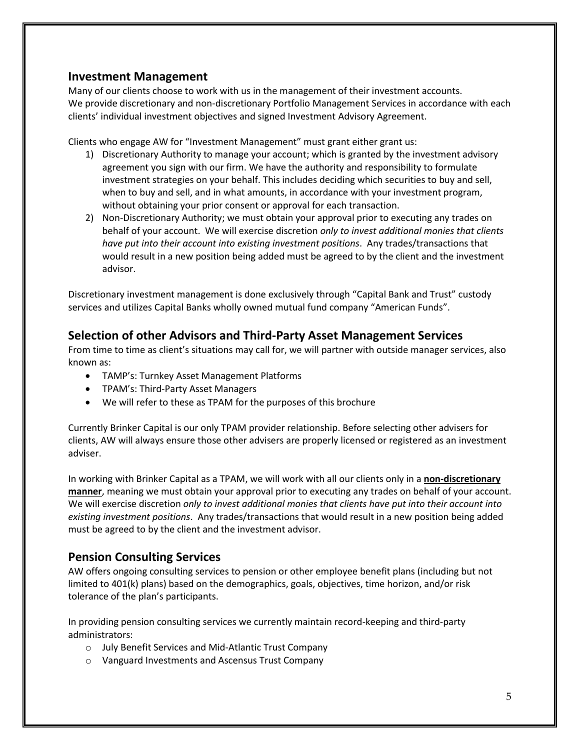#### **Investment Management**

Many of our clients choose to work with us in the management of their investment accounts. We provide discretionary and non-discretionary Portfolio Management Services in accordance with each clients' individual investment objectives and signed Investment Advisory Agreement.

Clients who engage AW for "Investment Management" must grant either grant us:

- 1) Discretionary Authority to manage your account; which is granted by the investment advisory agreement you sign with our firm. We have the authority and responsibility to formulate investment strategies on your behalf. This includes deciding which securities to buy and sell, when to buy and sell, and in what amounts, in accordance with your investment program, without obtaining your prior consent or approval for each transaction.
- 2) Non-Discretionary Authority; we must obtain your approval prior to executing any trades on behalf of your account. We will exercise discretion *only to invest additional monies that clients have put into their account into existing investment positions*. Any trades/transactions that would result in a new position being added must be agreed to by the client and the investment advisor.

Discretionary investment management is done exclusively through "Capital Bank and Trust" custody services and utilizes Capital Banks wholly owned mutual fund company "American Funds".

### **Selection of other Advisors and Third-Party Asset Management Services**

From time to time as client's situations may call for, we will partner with outside manager services, also known as:

- TAMP's: Turnkey Asset Management Platforms
- TPAM's: Third-Party Asset Managers
- We will refer to these as TPAM for the purposes of this brochure

Currently Brinker Capital is our only TPAM provider relationship. Before selecting other advisers for clients, AW will always ensure those other advisers are properly licensed or registered as an investment adviser.

In working with Brinker Capital as a TPAM, we will work with all our clients only in a **non-discretionary manner**, meaning we must obtain your approval prior to executing any trades on behalf of your account. We will exercise discretion *only to invest additional monies that clients have put into their account into existing investment positions*. Any trades/transactions that would result in a new position being added must be agreed to by the client and the investment advisor.

### **Pension Consulting Services**

AW offers ongoing consulting services to pension or other employee benefit plans (including but not limited to 401(k) plans) based on the demographics, goals, objectives, time horizon, and/or risk tolerance of the plan's participants.

In providing pension consulting services we currently maintain record-keeping and third-party administrators:

- o July Benefit Services and Mid-Atlantic Trust Company
- o Vanguard Investments and Ascensus Trust Company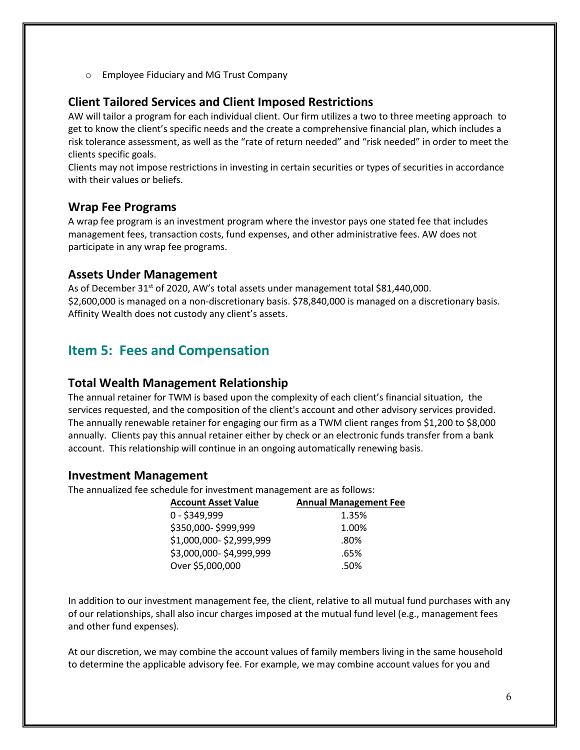o Employee Fiduciary and MG Trust Company

#### **Client Tailored Services and Client Imposed Restrictions**

AW will tailor a program for each individual client. Our firm utilizes a two to three meeting approach to get to know the client's specific needs and the create a comprehensive financial plan, which includes a risk tolerance assessment, as well as the "rate of return needed" and "risk needed" in order to meet the clients specific goals.

Clients may not impose restrictions in investing in certain securities or types of securities in accordance with their values or beliefs.

#### **Wrap Fee Programs**

A wrap fee program is an investment program where the investor pays one stated fee that includes management fees, transaction costs, fund expenses, and other administrative fees. AW does not participate in any wrap fee programs.

#### **Assets Under Management**

As of December 31<sup>st</sup> of 2020, AW's total assets under management total \$81,440,000. \$2,600,000 is managed on a non-discretionary basis. \$78,840,000 is managed on a discretionary basis. Affinity Wealth does not custody any client's assets.

## **Item 5: Fees and Compensation**

#### **Total Wealth Management Relationship**

The annual retainer for TWM is based upon the complexity of each client's financial situation, the services requested, and the composition of the client's account and other advisory services provided. The annually renewable retainer for engaging our firm as a TWM client ranges from \$1,200 to \$8,000 annually. Clients pay this annual retainer either by check or an electronic funds transfer from a bank account. This relationship will continue in an ongoing automatically renewing basis.

#### **Investment Management**

The annualized fee schedule for investment management are as follows:

| <b>Account Asset Value</b> | <b>Annual Management Fee</b> |
|----------------------------|------------------------------|
| 0 - \$349,999              | 1.35%                        |
| \$350,000-\$999,999        | 1.00%                        |
| \$1,000,000-\$2,999,999    | .80%                         |
| \$3,000,000-\$4,999,999    | .65%                         |
| Over \$5,000,000           | .50%                         |

In addition to our investment management fee, the client, relative to all mutual fund purchases with any of our relationships, shall also incur charges imposed at the mutual fund level (e.g., management fees and other fund expenses).

At our discretion, we may combine the account values of family members living in the same household to determine the applicable advisory fee. For example, we may combine account values for you and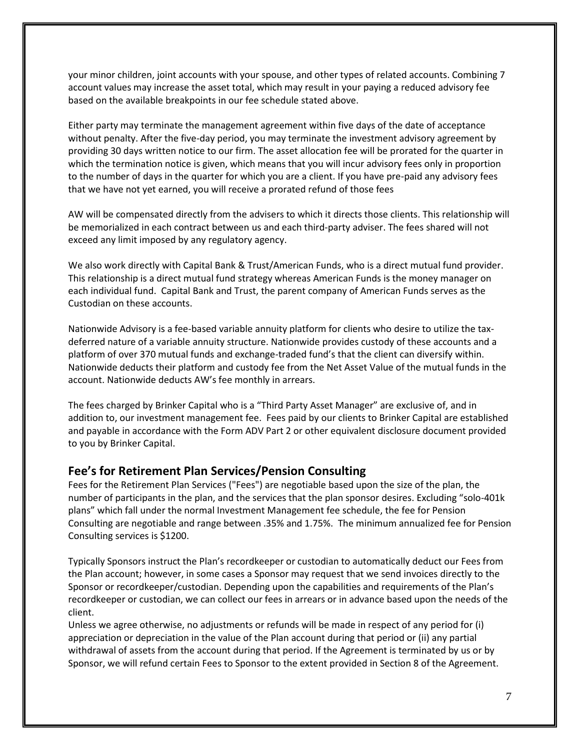your minor children, joint accounts with your spouse, and other types of related accounts. Combining 7 account values may increase the asset total, which may result in your paying a reduced advisory fee based on the available breakpoints in our fee schedule stated above.

Either party may terminate the management agreement within five days of the date of acceptance without penalty. After the five-day period, you may terminate the investment advisory agreement by providing 30 days written notice to our firm. The asset allocation fee will be prorated for the quarter in which the termination notice is given, which means that you will incur advisory fees only in proportion to the number of days in the quarter for which you are a client. If you have pre-paid any advisory fees that we have not yet earned, you will receive a prorated refund of those fees

AW will be compensated directly from the advisers to which it directs those clients. This relationship will be memorialized in each contract between us and each third-party adviser. The fees shared will not exceed any limit imposed by any regulatory agency.

We also work directly with Capital Bank & Trust/American Funds, who is a direct mutual fund provider. This relationship is a direct mutual fund strategy whereas American Funds is the money manager on each individual fund. Capital Bank and Trust, the parent company of American Funds serves as the Custodian on these accounts.

Nationwide Advisory is a fee-based variable annuity platform for clients who desire to utilize the taxdeferred nature of a variable annuity structure. Nationwide provides custody of these accounts and a platform of over 370 mutual funds and exchange-traded fund's that the client can diversify within. Nationwide deducts their platform and custody fee from the Net Asset Value of the mutual funds in the account. Nationwide deducts AW's fee monthly in arrears.

The fees charged by Brinker Capital who is a "Third Party Asset Manager" are exclusive of, and in addition to, our investment management fee. Fees paid by our clients to Brinker Capital are established and payable in accordance with the Form ADV Part 2 or other equivalent disclosure document provided to you by Brinker Capital.

#### **Fee's for Retirement Plan Services/Pension Consulting**

Fees for the Retirement Plan Services ("Fees") are negotiable based upon the size of the plan, the number of participants in the plan, and the services that the plan sponsor desires. Excluding "solo-401k plans" which fall under the normal Investment Management fee schedule, the fee for Pension Consulting are negotiable and range between .35% and 1.75%. The minimum annualized fee for Pension Consulting services is \$1200.

Typically Sponsors instruct the Plan's recordkeeper or custodian to automatically deduct our Fees from the Plan account; however, in some cases a Sponsor may request that we send invoices directly to the Sponsor or recordkeeper/custodian. Depending upon the capabilities and requirements of the Plan's recordkeeper or custodian, we can collect our fees in arrears or in advance based upon the needs of the client.

Unless we agree otherwise, no adjustments or refunds will be made in respect of any period for (i) appreciation or depreciation in the value of the Plan account during that period or (ii) any partial withdrawal of assets from the account during that period. If the Agreement is terminated by us or by Sponsor, we will refund certain Fees to Sponsor to the extent provided in Section 8 of the Agreement.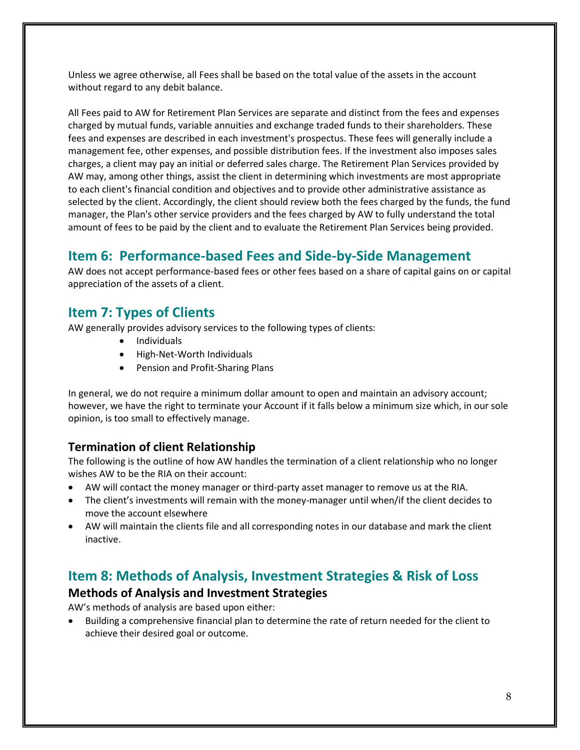Unless we agree otherwise, all Fees shall be based on the total value of the assets in the account without regard to any debit balance.

All Fees paid to AW for Retirement Plan Services are separate and distinct from the fees and expenses charged by mutual funds, variable annuities and exchange traded funds to their shareholders. These fees and expenses are described in each investment's prospectus. These fees will generally include a management fee, other expenses, and possible distribution fees. If the investment also imposes sales charges, a client may pay an initial or deferred sales charge. The Retirement Plan Services provided by AW may, among other things, assist the client in determining which investments are most appropriate to each client's financial condition and objectives and to provide other administrative assistance as selected by the client. Accordingly, the client should review both the fees charged by the funds, the fund manager, the Plan's other service providers and the fees charged by AW to fully understand the total amount of fees to be paid by the client and to evaluate the Retirement Plan Services being provided.

## **Item 6: Performance-based Fees and Side-by-Side Management**

AW does not accept performance-based fees or other fees based on a share of capital gains on or capital appreciation of the assets of a client.

## **Item 7: Types of Clients**

AW generally provides advisory services to the following types of clients:

- Individuals
- High-Net-Worth Individuals
- Pension and Profit-Sharing Plans

In general, we do not require a minimum dollar amount to open and maintain an advisory account; however, we have the right to terminate your Account if it falls below a minimum size which, in our sole opinion, is too small to effectively manage.

### **Termination of client Relationship**

The following is the outline of how AW handles the termination of a client relationship who no longer wishes AW to be the RIA on their account:

- AW will contact the money manager or third-party asset manager to remove us at the RIA.
- The client's investments will remain with the money-manager until when/if the client decides to move the account elsewhere
- AW will maintain the clients file and all corresponding notes in our database and mark the client inactive.

## **Item 8: Methods of Analysis, Investment Strategies & Risk of Loss**

#### **Methods of Analysis and Investment Strategies**

AW's methods of analysis are based upon either:

• Building a comprehensive financial plan to determine the rate of return needed for the client to achieve their desired goal or outcome.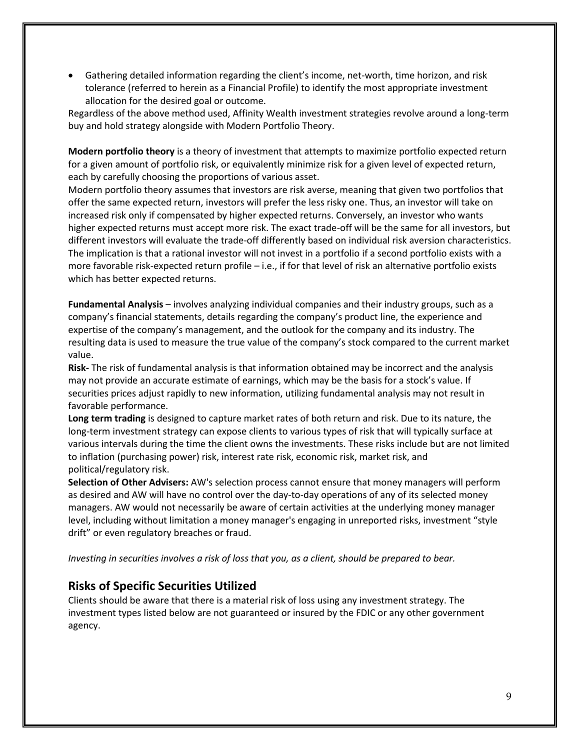• Gathering detailed information regarding the client's income, net-worth, time horizon, and risk tolerance (referred to herein as a Financial Profile) to identify the most appropriate investment allocation for the desired goal or outcome.

Regardless of the above method used, Affinity Wealth investment strategies revolve around a long-term buy and hold strategy alongside with Modern Portfolio Theory.

**Modern portfolio theory** is a theory of investment that attempts to maximize portfolio expected return for a given amount of portfolio risk, or equivalently minimize risk for a given level of expected return, each by carefully choosing the proportions of various asset.

Modern portfolio theory assumes that investors are risk averse, meaning that given two portfolios that offer the same expected return, investors will prefer the less risky one. Thus, an investor will take on increased risk only if compensated by higher expected returns. Conversely, an investor who wants higher expected returns must accept more risk. The exact trade-off will be the same for all investors, but different investors will evaluate the trade-off differently based on individual risk aversion characteristics. The implication is that a rational investor will not invest in a portfolio if a second portfolio exists with a more favorable risk-expected return profile – i.e., if for that level of risk an alternative portfolio exists which has better expected returns.

**Fundamental Analysis** – involves analyzing individual companies and their industry groups, such as a company's financial statements, details regarding the company's product line, the experience and expertise of the company's management, and the outlook for the company and its industry. The resulting data is used to measure the true value of the company's stock compared to the current market value.

**Risk-** The risk of fundamental analysis is that information obtained may be incorrect and the analysis may not provide an accurate estimate of earnings, which may be the basis for a stock's value. If securities prices adjust rapidly to new information, utilizing fundamental analysis may not result in favorable performance.

**Long term trading** is designed to capture market rates of both return and risk. Due to its nature, the long-term investment strategy can expose clients to various types of risk that will typically surface at various intervals during the time the client owns the investments. These risks include but are not limited to inflation (purchasing power) risk, interest rate risk, economic risk, market risk, and political/regulatory risk.

**Selection of Other Advisers:** AW's selection process cannot ensure that money managers will perform as desired and AW will have no control over the day-to-day operations of any of its selected money managers. AW would not necessarily be aware of certain activities at the underlying money manager level, including without limitation a money manager's engaging in unreported risks, investment "style drift" or even regulatory breaches or fraud.

*Investing in securities involves a risk of loss that you, as a client, should be prepared to bear.*

#### **Risks of Specific Securities Utilized**

Clients should be aware that there is a material risk of loss using any investment strategy. The investment types listed below are not guaranteed or insured by the FDIC or any other government agency.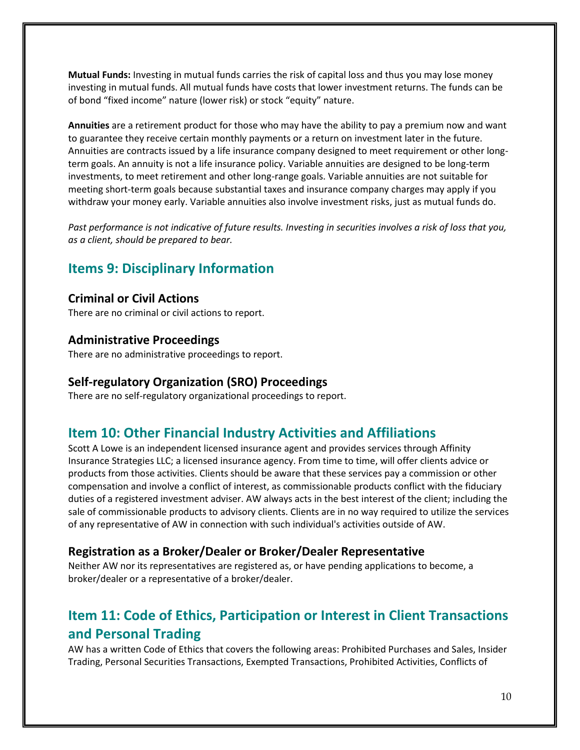**Mutual Funds:** Investing in mutual funds carries the risk of capital loss and thus you may lose money investing in mutual funds. All mutual funds have costs that lower investment returns. The funds can be of bond "fixed income" nature (lower risk) or stock "equity" nature.

**Annuities** are a retirement product for those who may have the ability to pay a premium now and want to guarantee they receive certain monthly payments or a return on investment later in the future. Annuities are contracts issued by a life insurance company designed to meet requirement or other longterm goals. An annuity is not a life insurance policy. Variable annuities are designed to be long-term investments, to meet retirement and other long-range goals. Variable annuities are not suitable for meeting short-term goals because substantial taxes and insurance company charges may apply if you withdraw your money early. Variable annuities also involve investment risks, just as mutual funds do.

*Past performance is not indicative of future results. Investing in securities involves a risk of loss that you, as a client, should be prepared to bear.*

## **Items 9: Disciplinary Information**

#### **Criminal or Civil Actions**

There are no criminal or civil actions to report.

#### **Administrative Proceedings**

There are no administrative proceedings to report.

#### **Self-regulatory Organization (SRO) Proceedings**

There are no self-regulatory organizational proceedings to report.

## **Item 10: Other Financial Industry Activities and Affiliations**

Scott A Lowe is an independent licensed insurance agent and provides services through Affinity Insurance Strategies LLC; a licensed insurance agency. From time to time, will offer clients advice or products from those activities. Clients should be aware that these services pay a commission or other compensation and involve a conflict of interest, as commissionable products conflict with the fiduciary duties of a registered investment adviser. AW always acts in the best interest of the client; including the sale of commissionable products to advisory clients. Clients are in no way required to utilize the services of any representative of AW in connection with such individual's activities outside of AW.

#### **Registration as a Broker/Dealer or Broker/Dealer Representative**

Neither AW nor its representatives are registered as, or have pending applications to become, a broker/dealer or a representative of a broker/dealer.

## **Item 11: Code of Ethics, Participation or Interest in Client Transactions and Personal Trading**

AW has a written Code of Ethics that covers the following areas: Prohibited Purchases and Sales, Insider Trading, Personal Securities Transactions, Exempted Transactions, Prohibited Activities, Conflicts of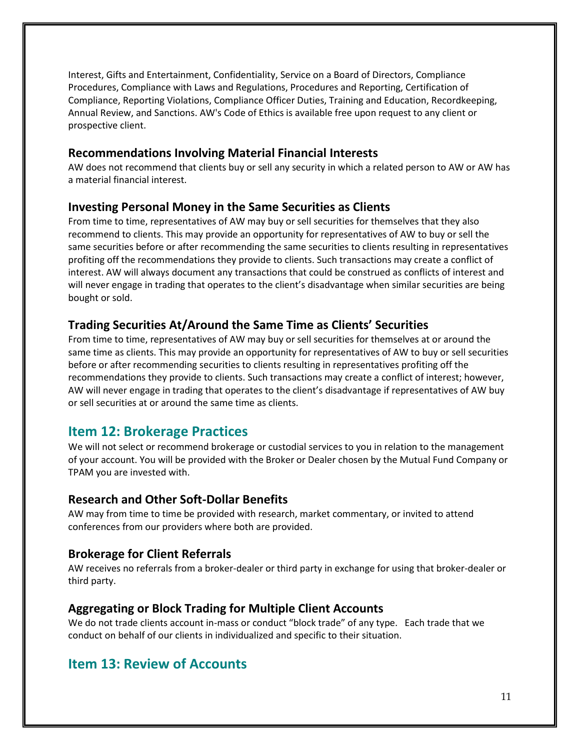Interest, Gifts and Entertainment, Confidentiality, Service on a Board of Directors, Compliance Procedures, Compliance with Laws and Regulations, Procedures and Reporting, Certification of Compliance, Reporting Violations, Compliance Officer Duties, Training and Education, Recordkeeping, Annual Review, and Sanctions. AW's Code of Ethics is available free upon request to any client or prospective client.

#### **Recommendations Involving Material Financial Interests**

AW does not recommend that clients buy or sell any security in which a related person to AW or AW has a material financial interest.

#### **Investing Personal Money in the Same Securities as Clients**

From time to time, representatives of AW may buy or sell securities for themselves that they also recommend to clients. This may provide an opportunity for representatives of AW to buy or sell the same securities before or after recommending the same securities to clients resulting in representatives profiting off the recommendations they provide to clients. Such transactions may create a conflict of interest. AW will always document any transactions that could be construed as conflicts of interest and will never engage in trading that operates to the client's disadvantage when similar securities are being bought or sold.

#### **Trading Securities At/Around the Same Time as Clients' Securities**

From time to time, representatives of AW may buy or sell securities for themselves at or around the same time as clients. This may provide an opportunity for representatives of AW to buy or sell securities before or after recommending securities to clients resulting in representatives profiting off the recommendations they provide to clients. Such transactions may create a conflict of interest; however, AW will never engage in trading that operates to the client's disadvantage if representatives of AW buy or sell securities at or around the same time as clients.

### **Item 12: Brokerage Practices**

We will not select or recommend brokerage or custodial services to you in relation to the management of your account. You will be provided with the Broker or Dealer chosen by the Mutual Fund Company or TPAM you are invested with.

#### **Research and Other Soft-Dollar Benefits**

AW may from time to time be provided with research, market commentary, or invited to attend conferences from our providers where both are provided.

#### **Brokerage for Client Referrals**

AW receives no referrals from a broker-dealer or third party in exchange for using that broker-dealer or third party.

#### **Aggregating or Block Trading for Multiple Client Accounts**

We do not trade clients account in-mass or conduct "block trade" of any type. Each trade that we conduct on behalf of our clients in individualized and specific to their situation.

### **Item 13: Review of Accounts**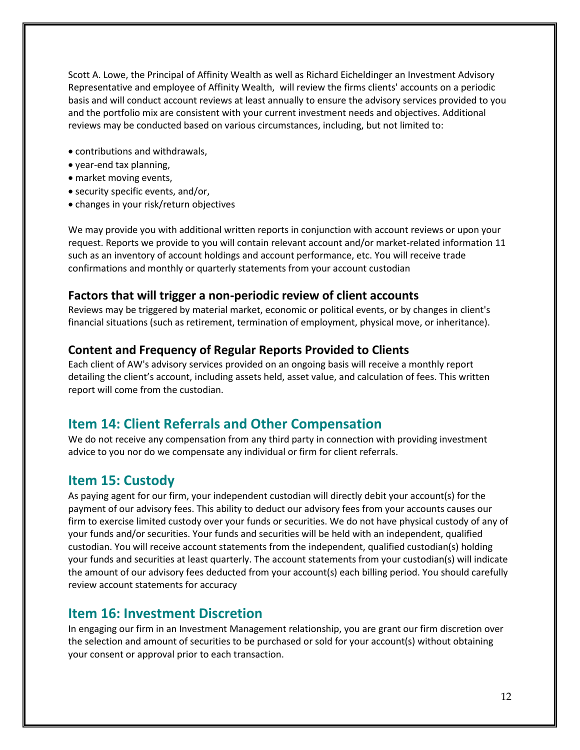Scott A. Lowe, the Principal of Affinity Wealth as well as Richard Eicheldinger an Investment Advisory Representative and employee of Affinity Wealth, will review the firms clients' accounts on a periodic basis and will conduct account reviews at least annually to ensure the advisory services provided to you and the portfolio mix are consistent with your current investment needs and objectives. Additional reviews may be conducted based on various circumstances, including, but not limited to:

- contributions and withdrawals,
- year-end tax planning,
- market moving events,
- security specific events, and/or,
- changes in your risk/return objectives

We may provide you with additional written reports in conjunction with account reviews or upon your request. Reports we provide to you will contain relevant account and/or market-related information 11 such as an inventory of account holdings and account performance, etc. You will receive trade confirmations and monthly or quarterly statements from your account custodian

#### **Factors that will trigger a non-periodic review of client accounts**

Reviews may be triggered by material market, economic or political events, or by changes in client's financial situations (such as retirement, termination of employment, physical move, or inheritance).

#### **Content and Frequency of Regular Reports Provided to Clients**

Each client of AW's advisory services provided on an ongoing basis will receive a monthly report detailing the client's account, including assets held, asset value, and calculation of fees. This written report will come from the custodian.

### **Item 14: Client Referrals and Other Compensation**

We do not receive any compensation from any third party in connection with providing investment advice to you nor do we compensate any individual or firm for client referrals.

### **Item 15: Custody**

As paying agent for our firm, your independent custodian will directly debit your account(s) for the payment of our advisory fees. This ability to deduct our advisory fees from your accounts causes our firm to exercise limited custody over your funds or securities. We do not have physical custody of any of your funds and/or securities. Your funds and securities will be held with an independent, qualified custodian. You will receive account statements from the independent, qualified custodian(s) holding your funds and securities at least quarterly. The account statements from your custodian(s) will indicate the amount of our advisory fees deducted from your account(s) each billing period. You should carefully review account statements for accuracy

### **Item 16: Investment Discretion**

In engaging our firm in an Investment Management relationship, you are grant our firm discretion over the selection and amount of securities to be purchased or sold for your account(s) without obtaining your consent or approval prior to each transaction.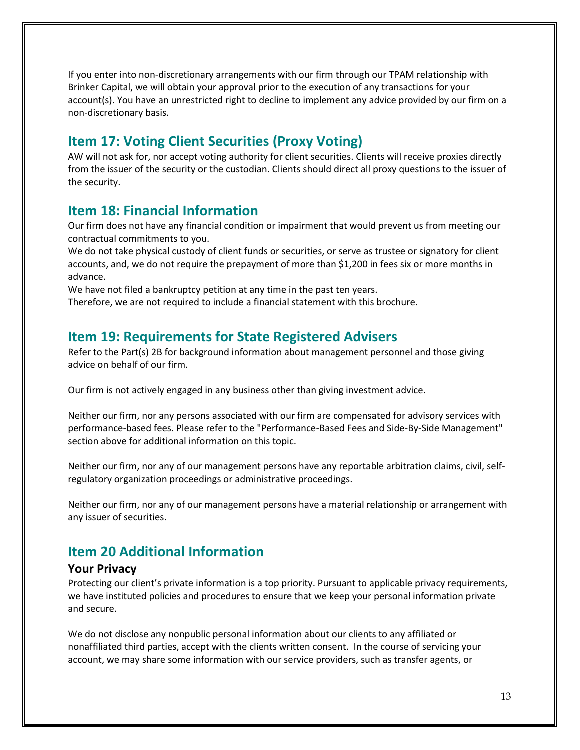If you enter into non-discretionary arrangements with our firm through our TPAM relationship with Brinker Capital, we will obtain your approval prior to the execution of any transactions for your account(s). You have an unrestricted right to decline to implement any advice provided by our firm on a non-discretionary basis.

## **Item 17: Voting Client Securities (Proxy Voting)**

AW will not ask for, nor accept voting authority for client securities. Clients will receive proxies directly from the issuer of the security or the custodian. Clients should direct all proxy questions to the issuer of the security.

## **Item 18: Financial Information**

Our firm does not have any financial condition or impairment that would prevent us from meeting our contractual commitments to you.

We do not take physical custody of client funds or securities, or serve as trustee or signatory for client accounts, and, we do not require the prepayment of more than \$1,200 in fees six or more months in advance.

We have not filed a bankruptcy petition at any time in the past ten years.

Therefore, we are not required to include a financial statement with this brochure.

## **Item 19: Requirements for State Registered Advisers**

Refer to the Part(s) 2B for background information about management personnel and those giving advice on behalf of our firm.

Our firm is not actively engaged in any business other than giving investment advice.

Neither our firm, nor any persons associated with our firm are compensated for advisory services with performance-based fees. Please refer to the "Performance-Based Fees and Side-By-Side Management" section above for additional information on this topic.

Neither our firm, nor any of our management persons have any reportable arbitration claims, civil, selfregulatory organization proceedings or administrative proceedings.

Neither our firm, nor any of our management persons have a material relationship or arrangement with any issuer of securities.

## **Item 20 Additional Information**

#### **Your Privacy**

Protecting our client's private information is a top priority. Pursuant to applicable privacy requirements, we have instituted policies and procedures to ensure that we keep your personal information private and secure.

We do not disclose any nonpublic personal information about our clients to any affiliated or nonaffiliated third parties, accept with the clients written consent. In the course of servicing your account, we may share some information with our service providers, such as transfer agents, or